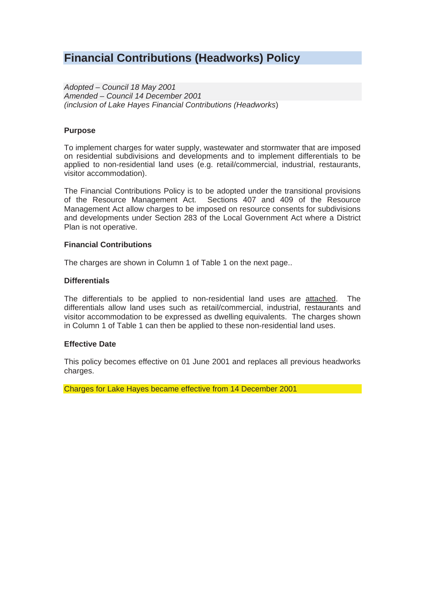# **Financial Contributions (Headworks) Policy**

*Adopted – Council 18 May 2001 Amended – Council 14 December 2001 (inclusion of Lake Hayes Financial Contributions (Headworks*)

#### **Purpose**

To implement charges for water supply, wastewater and stormwater that are imposed on residential subdivisions and developments and to implement differentials to be applied to non-residential land uses (e.g. retail/commercial, industrial, restaurants, visitor accommodation).

The Financial Contributions Policy is to be adopted under the transitional provisions of the Resource Management Act. Sections 407 and 409 of the Resource Management Act allow charges to be imposed on resource consents for subdivisions and developments under Section 283 of the Local Government Act where a District Plan is not operative.

#### **Financial Contributions**

The charges are shown in Column 1 of Table 1 on the next page..

#### **Differentials**

The differentials to be applied to non-residential land uses are attached. The differentials allow land uses such as retail/commercial, industrial, restaurants and visitor accommodation to be expressed as dwelling equivalents. The charges shown in Column 1 of Table 1 can then be applied to these non-residential land uses.

## **Effective Date**

This policy becomes effective on 01 June 2001 and replaces all previous headworks charges.

Charges for Lake Hayes became effective from 14 December 2001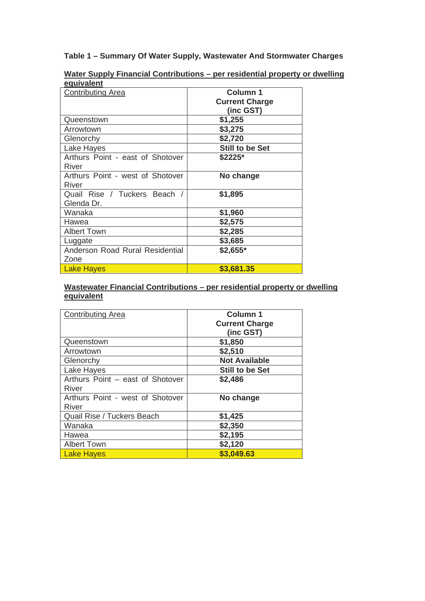**Table 1 – Summary Of Water Supply, Wastewater And Stormwater Charges** 

| συμιναισιιι                      |                       |
|----------------------------------|-----------------------|
| <b>Contributing Area</b>         | <b>Column 1</b>       |
|                                  | <b>Current Charge</b> |
|                                  | (inc GST)             |
| Queenstown                       | \$1,255               |
| Arrowtown                        | \$3,275               |
| Glenorchy                        | \$2,720               |
| Lake Hayes                       | Still to be Set       |
| Arthurs Point - east of Shotover | \$2225*               |
| River                            |                       |
| Arthurs Point - west of Shotover | No change             |
| River                            |                       |
| Quail Rise / Tuckers Beach /     | \$1,895               |
| Glenda Dr.                       |                       |
| Wanaka                           | \$1,960               |
| Hawea                            | \$2,575               |
| <b>Albert Town</b>               | \$2,285               |
| Luggate                          | \$3,685               |
| Anderson Road Rural Residential  | \$2,655*              |
| Zone                             |                       |
| <b>Lake Hayes</b>                | \$3,681.35            |

**Water Supply Financial Contributions – per residential property or dwelling equivalent**

# **Wastewater Financial Contributions – per residential property or dwelling equivalent**

| <b>Contributing Area</b>         | <b>Column 1</b>       |
|----------------------------------|-----------------------|
|                                  | <b>Current Charge</b> |
|                                  | (inc GST)             |
| Queenstown                       | \$1,850               |
| Arrowtown                        | \$2,510               |
| Glenorchy                        | <b>Not Available</b>  |
| Lake Hayes                       | Still to be Set       |
| Arthurs Point - east of Shotover | \$2,486               |
| River                            |                       |
| Arthurs Point - west of Shotover | No change             |
| <b>River</b>                     |                       |
| Quail Rise / Tuckers Beach       | \$1,425               |
| Wanaka                           | \$2,350               |
| Hawea                            | \$2,195               |
| <b>Albert Town</b>               | \$2,120               |
| Lake Hayes                       | \$3,049.63            |